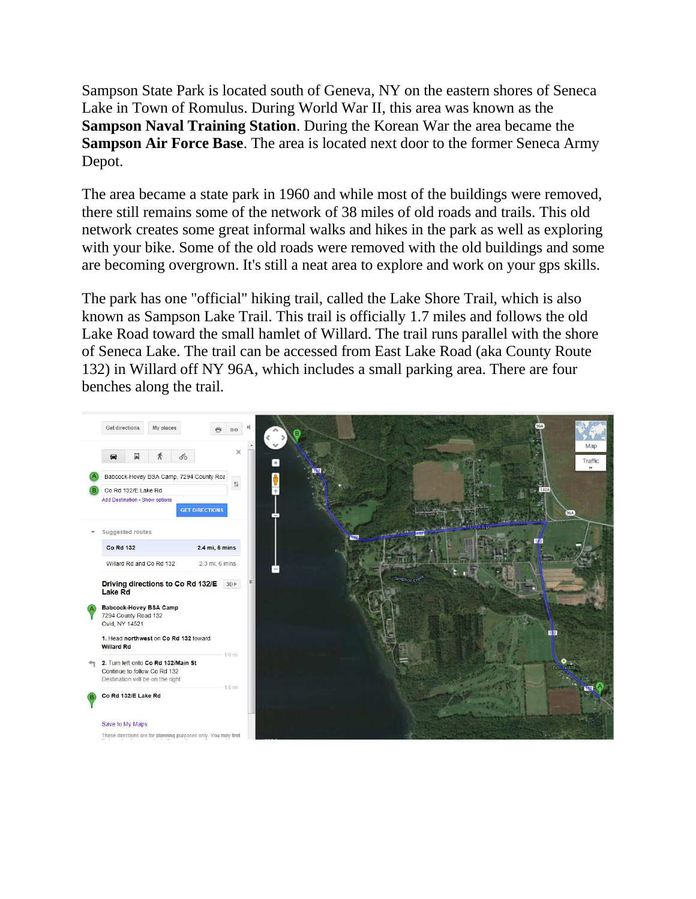Sampson State Park is located south of Geneva, NY on the eastern shores of Seneca Lake in Town of Romulus. During World War II, this area was known as the **Sampson Naval Training Station**. During the Korean War the area became the **Sampson Air Force Base**. The area is located next door to the former Seneca Army Depot.

The area became a state park in 1960 and while most of the buildings were removed, there still remains some of the network of 38 miles of old roads and trails. This old network creates some great informal walks and hikes in the park as well as exploring with your bike. Some of the old roads were removed with the old buildings and some are becoming overgrown. It's still a neat area to explore and work on your gps skills.

The park has one "official" hiking trail, called the Lake Shore Trail, which is also known as Sampson Lake Trail. This trail is officially 1.7 miles and follows the old Lake Road toward the small hamlet of Willard. The trail runs parallel with the shore of Seneca Lake. The trail can be accessed from East Lake Road (aka County Route 132) in Willard off NY 96A, which includes a small parking area. There are four benches along the trail.